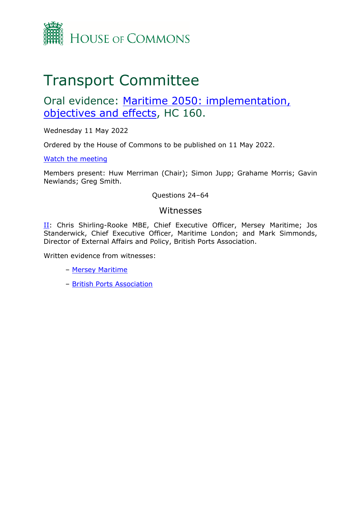

# Transport Committee

## Oral evidence: [Maritime](https://committees.parliament.uk/work/6555/maritime-2050-objectives-implementation-and-effects/) [2050:](https://committees.parliament.uk/work/6555/maritime-2050-objectives-implementation-and-effects/) [implementation,](https://committees.parliament.uk/work/6555/maritime-2050-objectives-implementation-and-effects/) [objectives](https://committees.parliament.uk/work/6555/maritime-2050-objectives-implementation-and-effects/) [and](https://committees.parliament.uk/work/6555/maritime-2050-objectives-implementation-and-effects/) [effects](https://committees.parliament.uk/work/6555/maritime-2050-objectives-implementation-and-effects/), HC 160.

Wednesday 11 May 2022

Ordered by the House of Commons to be published on 11 May 2022.

[Watch](https://parliamentlive.tv/event/index/2ddfa32a-5a83-4e3e-80e1-2a309a495e29?in=10:02:00) [the](https://parliamentlive.tv/event/index/2ddfa32a-5a83-4e3e-80e1-2a309a495e29?in=10:02:00) [meeting](https://parliamentlive.tv/event/index/2ddfa32a-5a83-4e3e-80e1-2a309a495e29?in=10:02:00)

Members present: Huw Merriman (Chair); Simon Jupp; Grahame Morris; Gavin Newlands; Greg Smith.

Questions 24–64

#### Witnesses

II: Chris Shirling-Rooke MBE, Chief Executive Officer, Mersey Maritime; Jos Standerwick, Chief Executive Officer, Maritime London; and Mark Simmonds, Director of External Affairs and Policy, British Ports Association.

Written evidence from witnesses:

- [Mersey](https://committees.parliament.uk/writtenevidence/108303/pdf/) [Maritime](https://committees.parliament.uk/writtenevidence/108303/pdf/)
- [British](https://committees.parliament.uk/writtenevidence/108327/pdf/) [Ports](https://committees.parliament.uk/writtenevidence/108327/pdf/) [Association](https://committees.parliament.uk/writtenevidence/108327/pdf/)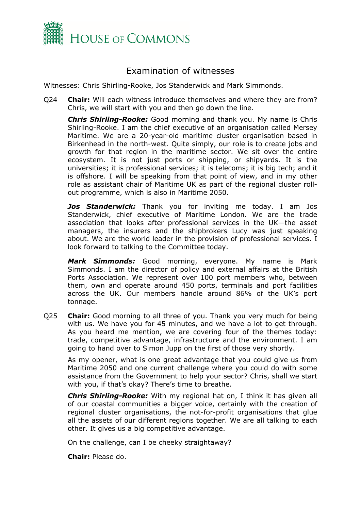

### Examination of witnesses

Witnesses: Chris Shirling-Rooke, Jos Standerwick and Mark Simmonds.

Q24 **Chair:** Will each witness introduce themselves and where they are from? Chris, we will start with you and then go down the line.

*Chris Shirling-Rooke:* Good morning and thank you. My name is Chris Shirling-Rooke. I am the chief executive of an organisation called Mersey Maritime. We are a 20-year-old maritime cluster organisation based in Birkenhead in the north-west. Quite simply, our role is to create jobs and growth for that region in the maritime sector. We sit over the entire ecosystem. It is not just ports or shipping, or shipyards. It is the universities; it is professional services; it is telecoms; it is big tech; and it is offshore. I will be speaking from that point of view, and in my other role as assistant chair of Maritime UK as part of the regional cluster rollout programme, which is also in Maritime 2050.

*Jos Standerwick:* Thank you for inviting me today. I am Jos Standerwick, chief executive of Maritime London. We are the trade association that looks after professional services in the UK—the asset managers, the insurers and the shipbrokers Lucy was just speaking about. We are the world leader in the provision of professional services. I look forward to talking to the Committee today.

*Mark Simmonds:* Good morning, everyone. My name is Mark Simmonds. I am the director of policy and external affairs at the British Ports Association. We represent over 100 port members who, between them, own and operate around 450 ports, terminals and port facilities across the UK. Our members handle around 86% of the UK's port tonnage.

Q25 **Chair:** Good morning to all three of you. Thank you very much for being with us. We have you for 45 minutes, and we have a lot to get through. As you heard me mention, we are covering four of the themes today: trade, competitive advantage, infrastructure and the environment. I am going to hand over to Simon Jupp on the first of those very shortly.

As my opener, what is one great advantage that you could give us from Maritime 2050 and one current challenge where you could do with some assistance from the Government to help your sector? Chris, shall we start with you, if that's okay? There's time to breathe.

*Chris Shirling-Rooke:* With my regional hat on, I think it has given all of our coastal communities a bigger voice, certainly with the creation of regional cluster organisations, the not-for-profit organisations that glue all the assets of our different regions together. We are all talking to each other. It gives us a big competitive advantage.

On the challenge, can I be cheeky straightaway?

**Chair:** Please do.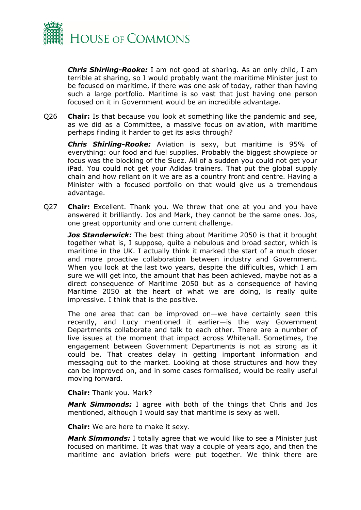

*Chris Shirling-Rooke:* I am not good at sharing. As an only child, I am terrible at sharing, so I would probably want the maritime Minister just to be focused on maritime, if there was one ask of today, rather than having such a large portfolio. Maritime is so vast that just having one person focused on it in Government would be an incredible advantage.

Q26 **Chair:** Is that because you look at something like the pandemic and see, as we did as a Committee, a massive focus on aviation, with maritime perhaps finding it harder to get its asks through?

*Chris Shirling-Rooke:* Aviation is sexy, but maritime is 95% of everything: our food and fuel supplies. Probably the biggest showpiece or focus was the blocking of the Suez. All of a sudden you could not get your iPad. You could not get your Adidas trainers. That put the global supply chain and how reliant on it we are as a country front and centre. Having a Minister with a focused portfolio on that would give us a tremendous advantage.

Q27 **Chair:** Excellent. Thank you. We threw that one at you and you have answered it brilliantly. Jos and Mark, they cannot be the same ones. Jos, one great opportunity and one current challenge.

*Jos Standerwick:* The best thing about Maritime 2050 is that it brought together what is, I suppose, quite a nebulous and broad sector, which is maritime in the UK. I actually think it marked the start of a much closer and more proactive collaboration between industry and Government. When you look at the last two years, despite the difficulties, which I am sure we will get into, the amount that has been achieved, maybe not as a direct consequence of Maritime 2050 but as a consequence of having Maritime 2050 at the heart of what we are doing, is really quite impressive. I think that is the positive.

The one area that can be improved on—we have certainly seen this recently, and Lucy mentioned it earlier—is the way Government Departments collaborate and talk to each other. There are a number of live issues at the moment that impact across Whitehall. Sometimes, the engagement between Government Departments is not as strong as it could be. That creates delay in getting important information and messaging out to the market. Looking at those structures and how they can be improved on, and in some cases formalised, would be really useful moving forward.

#### **Chair:** Thank you. Mark?

*Mark Simmonds:* I agree with both of the things that Chris and Jos mentioned, although I would say that maritime is sexy as well.

**Chair:** We are here to make it sexy.

*Mark Simmonds:* I totally agree that we would like to see a Minister just focused on maritime. It was that way a couple of years ago, and then the maritime and aviation briefs were put together. We think there are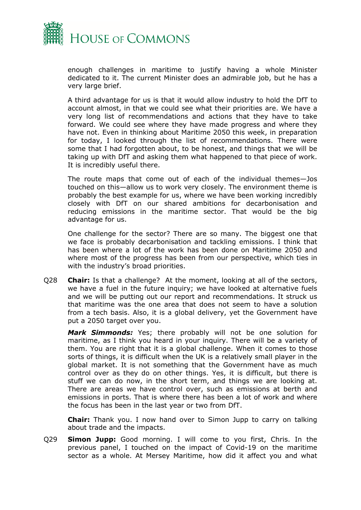

enough challenges in maritime to justify having a whole Minister dedicated to it. The current Minister does an admirable job, but he has a very large brief.

A third advantage for us is that it would allow industry to hold the DfT to account almost, in that we could see what their priorities are. We have a very long list of recommendations and actions that they have to take forward. We could see where they have made progress and where they have not. Even in thinking about Maritime 2050 this week, in preparation for today, I looked through the list of recommendations. There were some that I had forgotten about, to be honest, and things that we will be taking up with DfT and asking them what happened to that piece of work. It is incredibly useful there.

The route maps that come out of each of the individual themes—Jos touched on this—allow us to work very closely. The environment theme is probably the best example for us, where we have been working incredibly closely with DfT on our shared ambitions for decarbonisation and reducing emissions in the maritime sector. That would be the big advantage for us.

One challenge for the sector? There are so many. The biggest one that we face is probably decarbonisation and tackling emissions. I think that has been where a lot of the work has been done on Maritime 2050 and where most of the progress has been from our perspective, which ties in with the industry's broad priorities.

Q28 **Chair:** Is that a challenge? At the moment, looking at all of the sectors, we have a fuel in the future inquiry; we have looked at alternative fuels and we will be putting out our report and recommendations. It struck us that maritime was the one area that does not seem to have a solution from a tech basis. Also, it is a global delivery, yet the Government have put a 2050 target over you.

*Mark Simmonds:* Yes; there probably will not be one solution for maritime, as I think you heard in your inquiry. There will be a variety of them. You are right that it is a global challenge. When it comes to those sorts of things, it is difficult when the UK is a relatively small player in the global market. It is not something that the Government have as much control over as they do on other things. Yes, it is difficult, but there is stuff we can do now, in the short term, and things we are looking at. There are areas we have control over, such as emissions at berth and emissions in ports. That is where there has been a lot of work and where the focus has been in the last year or two from DfT.

**Chair:** Thank you. I now hand over to Simon Jupp to carry on talking about trade and the impacts.

Q29 **Simon Jupp:** Good morning. I will come to you first, Chris. In the previous panel, I touched on the impact of Covid-19 on the maritime sector as a whole. At Mersey Maritime, how did it affect you and what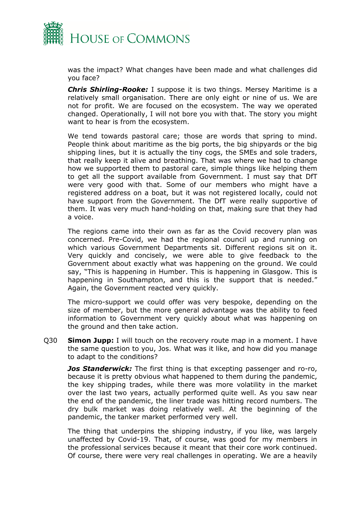

was the impact? What changes have been made and what challenges did you face?

*Chris Shirling-Rooke:* I suppose it is two things. Mersey Maritime is a relatively small organisation. There are only eight or nine of us. We are not for profit. We are focused on the ecosystem. The way we operated changed. Operationally, I will not bore you with that. The story you might want to hear is from the ecosystem.

We tend towards pastoral care; those are words that spring to mind. People think about maritime as the big ports, the big shipyards or the big shipping lines, but it is actually the tiny cogs, the SMEs and sole traders, that really keep it alive and breathing. That was where we had to change how we supported them to pastoral care, simple things like helping them to get all the support available from Government. I must say that DfT were very good with that. Some of our members who might have a registered address on a boat, but it was not registered locally, could not have support from the Government. The DfT were really supportive of them. It was very much hand-holding on that, making sure that they had a voice.

The regions came into their own as far as the Covid recovery plan was concerned. Pre-Covid, we had the regional council up and running on which various Government Departments sit. Different regions sit on it. Very quickly and concisely, we were able to give feedback to the Government about exactly what was happening on the ground. We could say, "This is happening in Humber. This is happening in Glasgow. This is happening in Southampton, and this is the support that is needed." Again, the Government reacted very quickly.

The micro-support we could offer was very bespoke, depending on the size of member, but the more general advantage was the ability to feed information to Government very quickly about what was happening on the ground and then take action.

Q30 **Simon Jupp:** I will touch on the recovery route map in a moment. I have the same question to you, Jos. What was it like, and how did you manage to adapt to the conditions?

*Jos Standerwick:* The first thing is that excepting passenger and ro-ro, because it is pretty obvious what happened to them during the pandemic, the key shipping trades, while there was more volatility in the market over the last two years, actually performed quite well. As you saw near the end of the pandemic, the liner trade was hitting record numbers. The dry bulk market was doing relatively well. At the beginning of the pandemic, the tanker market performed very well.

The thing that underpins the shipping industry, if you like, was largely unaffected by Covid-19. That, of course, was good for my members in the professional services because it meant that their core work continued. Of course, there were very real challenges in operating. We are a heavily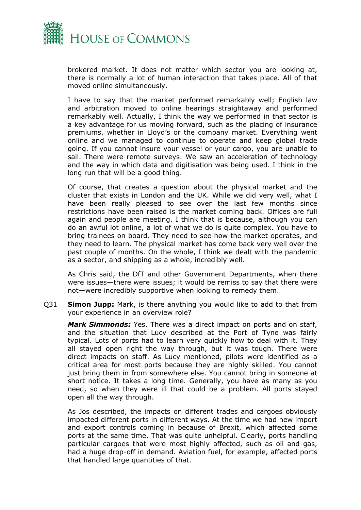

brokered market. It does not matter which sector you are looking at, there is normally a lot of human interaction that takes place. All of that moved online simultaneously.

I have to say that the market performed remarkably well; English law and arbitration moved to online hearings straightaway and performed remarkably well. Actually, I think the way we performed in that sector is a key advantage for us moving forward, such as the placing of insurance premiums, whether in Lloyd's or the company market. Everything went online and we managed to continue to operate and keep global trade going. If you cannot insure your vessel or your cargo, you are unable to sail. There were remote surveys. We saw an acceleration of technology and the way in which data and digitisation was being used. I think in the long run that will be a good thing.

Of course, that creates a question about the physical market and the cluster that exists in London and the UK. While we did very well, what I have been really pleased to see over the last few months since restrictions have been raised is the market coming back. Offices are full again and people are meeting. I think that is because, although you can do an awful lot online, a lot of what we do is quite complex. You have to bring trainees on board. They need to see how the market operates, and they need to learn. The physical market has come back very well over the past couple of months. On the whole, I think we dealt with the pandemic as a sector, and shipping as a whole, incredibly well.

As Chris said, the DfT and other Government Departments, when there were issues—there were issues; it would be remiss to say that there were not—were incredibly supportive when looking to remedy them.

Q31 **Simon Jupp:** Mark, is there anything you would like to add to that from your experience in an overview role?

*Mark Simmonds:* Yes. There was a direct impact on ports and on staff, and the situation that Lucy described at the Port of Tyne was fairly typical. Lots of ports had to learn very quickly how to deal with it. They all stayed open right the way through, but it was tough. There were direct impacts on staff. As Lucy mentioned, pilots were identified as a critical area for most ports because they are highly skilled. You cannot just bring them in from somewhere else. You cannot bring in someone at short notice. It takes a long time. Generally, you have as many as you need, so when they were ill that could be a problem. All ports stayed open all the way through.

As Jos described, the impacts on different trades and cargoes obviously impacted different ports in different ways. At the time we had new import and export controls coming in because of Brexit, which affected some ports at the same time. That was quite unhelpful. Clearly, ports handling particular cargoes that were most highly affected, such as oil and gas, had a huge drop-off in demand. Aviation fuel, for example, affected ports that handled large quantities of that.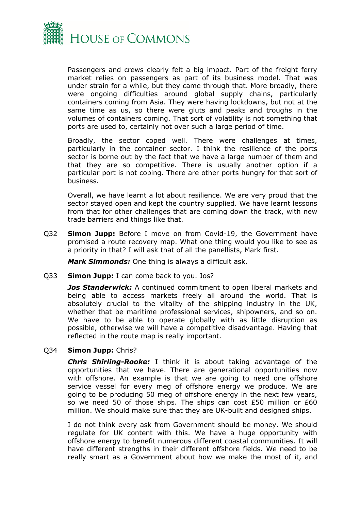

Passengers and crews clearly felt a big impact. Part of the freight ferry market relies on passengers as part of its business model. That was under strain for a while, but they came through that. More broadly, there were ongoing difficulties around global supply chains, particularly containers coming from Asia. They were having lockdowns, but not at the same time as us, so there were gluts and peaks and troughs in the volumes of containers coming. That sort of volatility is not something that ports are used to, certainly not over such a large period of time.

Broadly, the sector coped well. There were challenges at times, particularly in the container sector. I think the resilience of the ports sector is borne out by the fact that we have a large number of them and that they are so competitive. There is usually another option if a particular port is not coping. There are other ports hungry for that sort of business.

Overall, we have learnt a lot about resilience. We are very proud that the sector stayed open and kept the country supplied. We have learnt lessons from that for other challenges that are coming down the track, with new trade barriers and things like that.

Q32 **Simon Jupp:** Before I move on from Covid-19, the Government have promised a route recovery map. What one thing would you like to see as a priority in that? I will ask that of all the panellists, Mark first.

*Mark Simmonds:* One thing is always a difficult ask.

Q33 **Simon Jupp:** I can come back to you. Jos?

*Jos Standerwick:* A continued commitment to open liberal markets and being able to access markets freely all around the world. That is absolutely crucial to the vitality of the shipping industry in the UK, whether that be maritime professional services, shipowners, and so on. We have to be able to operate globally with as little disruption as possible, otherwise we will have a competitive disadvantage. Having that reflected in the route map is really important.

#### Q34 **Simon Jupp:** Chris?

*Chris Shirling-Rooke:* I think it is about taking advantage of the opportunities that we have. There are generational opportunities now with offshore. An example is that we are going to need one offshore service vessel for every meg of offshore energy we produce. We are going to be producing 50 meg of offshore energy in the next few years, so we need 50 of those ships. The ships can cost £50 million or £60 million. We should make sure that they are UK-built and designed ships.

I do not think every ask from Government should be money. We should regulate for UK content with this. We have a huge opportunity with offshore energy to benefit numerous different coastal communities. It will have different strengths in their different offshore fields. We need to be really smart as a Government about how we make the most of it, and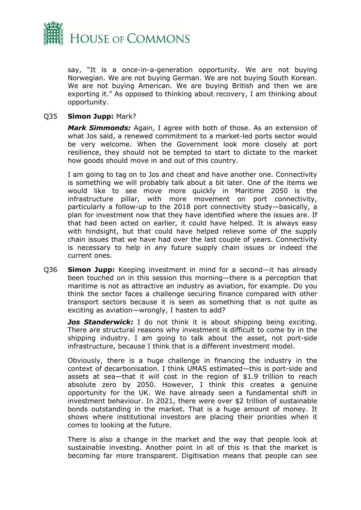

say, "It is a once-in-a-generation opportunity. We are not buying Norwegian. We are not buying German. We are not buying South Korean. We are not buying American. We are buying British and then we are exporting it." As opposed to thinking about recovery, I am thinking about opportunity.

#### Q35 **Simon Jupp:** Mark?

*Mark Simmonds:* Again, I agree with both of those. As an extension of what Jos said, a renewed commitment to a market-led ports sector would be very welcome. When the Government look more closely at port resilience, they should not be tempted to start to dictate to the market how goods should move in and out of this country.

I am going to tag on to Jos and cheat and have another one. Connectivity is something we will probably talk about a bit later. One of the items we would like to see move more quickly in Maritime 2050 is the infrastructure pillar, with more movement on port connectivity, particularly a follow-up to the 2018 port connectivity study—basically, a plan for investment now that they have identified where the issues are. If that had been acted on earlier, it could have helped. It is always easy with hindsight, but that could have helped relieve some of the supply chain issues that we have had over the last couple of years. Connectivity is necessary to help in any future supply chain issues or indeed the current ones.

Q36 **Simon Jupp:** Keeping investment in mind for a second—it has already been touched on in this session this morning—there is a perception that maritime is not as attractive an industry as aviation, for example. Do you think the sector faces a challenge securing finance compared with other transport sectors because it is seen as something that is not quite as exciting as aviation—wrongly, I hasten to add?

*Jos Standerwick:* I do not think it is about shipping being exciting. There are structural reasons why investment is difficult to come by in the shipping industry. I am going to talk about the asset, not port-side infrastructure, because I think that is a different investment model.

Obviously, there is a huge challenge in financing the industry in the context of decarbonisation. I think UMAS estimated—this is port-side and assets at sea—that it will cost in the region of \$1.9 trillion to reach absolute zero by 2050. However, I think this creates a genuine opportunity for the UK. We have already seen a fundamental shift in investment behaviour. In 2021, there were over \$2 trillion of sustainable bonds outstanding in the market. That is a huge amount of money. It shows where institutional investors are placing their priorities when it comes to looking at the future.

There is also a change in the market and the way that people look at sustainable investing. Another point in all of this is that the market is becoming far more transparent. Digitisation means that people can see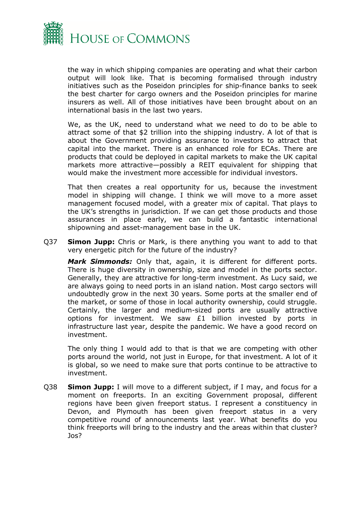

the way in which shipping companies are operating and what their carbon output will look like. That is becoming formalised through industry initiatives such as the Poseidon principles for ship-finance banks to seek the best charter for cargo owners and the Poseidon principles for marine insurers as well. All of those initiatives have been brought about on an international basis in the last two years.

We, as the UK, need to understand what we need to do to be able to attract some of that \$2 trillion into the shipping industry. A lot of that is about the Government providing assurance to investors to attract that capital into the market. There is an enhanced role for ECAs. There are products that could be deployed in capital markets to make the UK capital markets more attractive—possibly a REIT equivalent for shipping that would make the investment more accessible for individual investors.

That then creates a real opportunity for us, because the investment model in shipping will change. I think we will move to a more asset management focused model, with a greater mix of capital. That plays to the UK's strengths in jurisdiction. If we can get those products and those assurances in place early, we can build a fantastic international shipowning and asset-management base in the UK.

Q37 **Simon Jupp:** Chris or Mark, is there anything you want to add to that very energetic pitch for the future of the industry?

*Mark Simmonds:* Only that, again, it is different for different ports. There is huge diversity in ownership, size and model in the ports sector. Generally, they are attractive for long-term investment. As Lucy said, we are always going to need ports in an island nation. Most cargo sectors will undoubtedly grow in the next 30 years. Some ports at the smaller end of the market, or some of those in local authority ownership, could struggle. Certainly, the larger and medium-sized ports are usually attractive options for investment. We saw £1 billion invested by ports in infrastructure last year, despite the pandemic. We have a good record on investment.

The only thing I would add to that is that we are competing with other ports around the world, not just in Europe, for that investment. A lot of it is global, so we need to make sure that ports continue to be attractive to investment.

Q38 **Simon Jupp:** I will move to a different subject, if I may, and focus for a moment on freeports. In an exciting Government proposal, different regions have been given freeport status. I represent a constituency in Devon, and Plymouth has been given freeport status in a very competitive round of announcements last year. What benefits do you think freeports will bring to the industry and the areas within that cluster? Jos?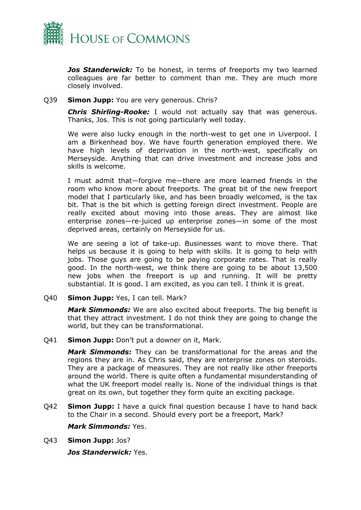

*Jos Standerwick:* To be honest, in terms of freeports my two learned colleagues are far better to comment than me. They are much more closely involved.

#### Q39 **Simon Jupp:** You are very generous. Chris?

*Chris Shirling-Rooke:* I would not actually say that was generous. Thanks, Jos. This is not going particularly well today.

We were also lucky enough in the north-west to get one in Liverpool. I am a Birkenhead boy. We have fourth generation employed there. We have high levels of deprivation in the north-west, specifically on Merseyside. Anything that can drive investment and increase jobs and skills is welcome.

I must admit that—forgive me—there are more learned friends in the room who know more about freeports. The great bit of the new freeport model that I particularly like, and has been broadly welcomed, is the tax bit. That is the bit which is getting foreign direct investment. People are really excited about moving into those areas. They are almost like enterprise zones—re-juiced up enterprise zones—in some of the most deprived areas, certainly on Merseyside for us.

We are seeing a lot of take-up. Businesses want to move there. That helps us because it is going to help with skills. It is going to help with jobs. Those guys are going to be paying corporate rates. That is really good. In the north-west, we think there are going to be about 13,500 new jobs when the freeport is up and running. It will be pretty substantial. It is good. I am excited, as you can tell. I think it is great.

Q40 **Simon Jupp:** Yes, I can tell. Mark?

*Mark Simmonds:* We are also excited about freeports. The big benefit is that they attract investment. I do not think they are going to change the world, but they can be transformational.

Q41 **Simon Jupp:** Don't put a downer on it, Mark.

*Mark Simmonds:* They can be transformational for the areas and the regions they are in. As Chris said, they are enterprise zones on steroids. They are a package of measures. They are not really like other freeports around the world. There is quite often a fundamental misunderstanding of what the UK freeport model really is. None of the individual things is that great on its own, but together they form quite an exciting package.

Q42 **Simon Jupp:** I have a quick final question because I have to hand back to the Chair in a second. Should every port be a freeport, Mark?

#### *Mark Simmonds:* Yes.

Q43 **Simon Jupp:** Jos?

*Jos Standerwick:* Yes.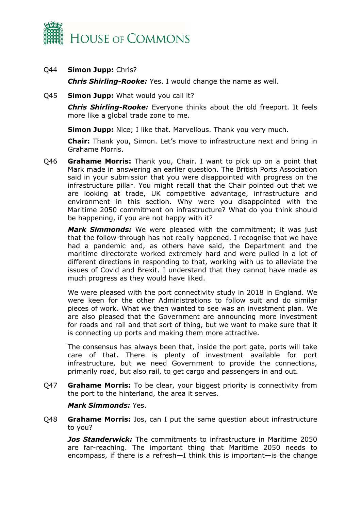

Q44 **Simon Jupp:** Chris?

*Chris Shirling-Rooke:* Yes. I would change the name as well.

Q45 **Simon Jupp:** What would you call it?

*Chris Shirling-Rooke:* Everyone thinks about the old freeport. It feels more like a global trade zone to me.

**Simon Jupp:** Nice; I like that. Marvellous. Thank you very much.

**Chair:** Thank you, Simon. Let's move to infrastructure next and bring in Grahame Morris.

Q46 **Grahame Morris:** Thank you, Chair. I want to pick up on a point that Mark made in answering an earlier question. The British Ports Association said in your submission that you were disappointed with progress on the infrastructure pillar. You might recall that the Chair pointed out that we are looking at trade, UK competitive advantage, infrastructure and environment in this section. Why were you disappointed with the Maritime 2050 commitment on infrastructure? What do you think should be happening, if you are not happy with it?

*Mark Simmonds:* We were pleased with the commitment; it was just that the follow-through has not really happened. I recognise that we have had a pandemic and, as others have said, the Department and the maritime directorate worked extremely hard and were pulled in a lot of different directions in responding to that, working with us to alleviate the issues of Covid and Brexit. I understand that they cannot have made as much progress as they would have liked.

We were pleased with the port connectivity study in 2018 in England. We were keen for the other Administrations to follow suit and do similar pieces of work. What we then wanted to see was an investment plan. We are also pleased that the Government are announcing more investment for roads and rail and that sort of thing, but we want to make sure that it is connecting up ports and making them more attractive.

The consensus has always been that, inside the port gate, ports will take care of that. There is plenty of investment available for port infrastructure, but we need Government to provide the connections, primarily road, but also rail, to get cargo and passengers in and out.

Q47 **Grahame Morris:** To be clear, your biggest priority is connectivity from the port to the hinterland, the area it serves.

*Mark Simmonds:* Yes.

Q48 **Grahame Morris:** Jos, can I put the same question about infrastructure to you?

*Jos Standerwick:* The commitments to infrastructure in Maritime 2050 are far-reaching. The important thing that Maritime 2050 needs to encompass, if there is a refresh—I think this is important—is the change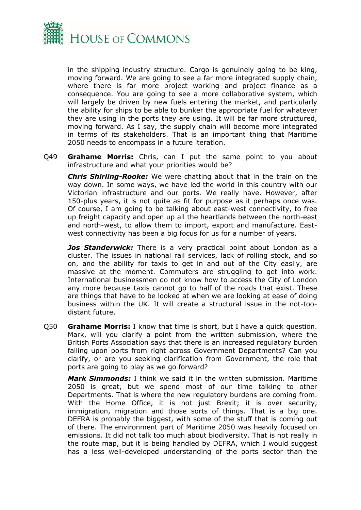

in the shipping industry structure. Cargo is genuinely going to be king, moving forward. We are going to see a far more integrated supply chain, where there is far more project working and project finance as a consequence. You are going to see a more collaborative system, which will largely be driven by new fuels entering the market, and particularly the ability for ships to be able to bunker the appropriate fuel for whatever they are using in the ports they are using. It will be far more structured, moving forward. As I say, the supply chain will become more integrated in terms of its stakeholders. That is an important thing that Maritime 2050 needs to encompass in a future iteration.

Q49 **Grahame Morris:** Chris, can I put the same point to you about infrastructure and what your priorities would be?

*Chris Shirling-Rooke:* We were chatting about that in the train on the way down. In some ways, we have led the world in this country with our Victorian infrastructure and our ports. We really have. However, after 150-plus years, it is not quite as fit for purpose as it perhaps once was. Of course, I am going to be talking about east-west connectivity, to free up freight capacity and open up all the heartlands between the north-east and north-west, to allow them to import, export and manufacture. Eastwest connectivity has been a big focus for us for a number of years.

*Jos Standerwick:* There is a very practical point about London as a cluster. The issues in national rail services, lack of rolling stock, and so on, and the ability for taxis to get in and out of the City easily, are massive at the moment. Commuters are struggling to get into work. International businessmen do not know how to access the City of London any more because taxis cannot go to half of the roads that exist. These are things that have to be looked at when we are looking at ease of doing business within the UK. It will create a structural issue in the not-toodistant future.

Q50 **Grahame Morris:** I know that time is short, but I have a quick question. Mark, will you clarify a point from the written submission, where the British Ports Association says that there is an increased regulatory burden falling upon ports from right across Government Departments? Can you clarify, or are you seeking clarification from Government, the role that ports are going to play as we go forward?

*Mark Simmonds:* I think we said it in the written submission. Maritime 2050 is great, but we spend most of our time talking to other Departments. That is where the new regulatory burdens are coming from. With the Home Office, it is not just Brexit; it is over security, immigration, migration and those sorts of things. That is a big one. DEFRA is probably the biggest, with some of the stuff that is coming out of there. The environment part of Maritime 2050 was heavily focused on emissions. It did not talk too much about biodiversity. That is not really in the route map, but it is being handled by DEFRA, which I would suggest has a less well-developed understanding of the ports sector than the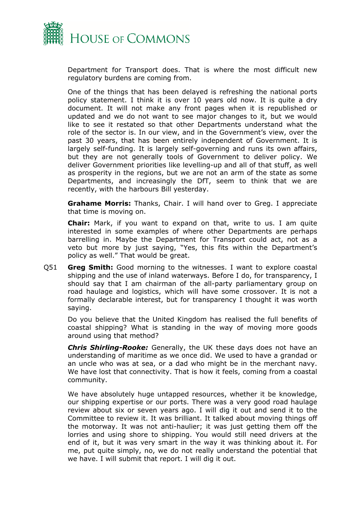

Department for Transport does. That is where the most difficult new regulatory burdens are coming from.

One of the things that has been delayed is refreshing the national ports policy statement. I think it is over 10 years old now. It is quite a dry document. It will not make any front pages when it is republished or updated and we do not want to see major changes to it, but we would like to see it restated so that other Departments understand what the role of the sector is. In our view, and in the Government's view, over the past 30 years, that has been entirely independent of Government. It is largely self-funding. It is largely self-governing and runs its own affairs, but they are not generally tools of Government to deliver policy. We deliver Government priorities like levelling-up and all of that stuff, as well as prosperity in the regions, but we are not an arm of the state as some Departments, and increasingly the DfT, seem to think that we are recently, with the harbours Bill yesterday.

**Grahame Morris:** Thanks, Chair. I will hand over to Greg. I appreciate that time is moving on.

**Chair:** Mark, if you want to expand on that, write to us. I am quite interested in some examples of where other Departments are perhaps barrelling in. Maybe the Department for Transport could act, not as a veto but more by just saying, "Yes, this fits within the Department's policy as well." That would be great.

Q51 **Greg Smith:** Good morning to the witnesses. I want to explore coastal shipping and the use of inland waterways. Before I do, for transparency, I should say that I am chairman of the all-party parliamentary group on road haulage and logistics, which will have some crossover. It is not a formally declarable interest, but for transparency I thought it was worth saying.

Do you believe that the United Kingdom has realised the full benefits of coastal shipping? What is standing in the way of moving more goods around using that method?

*Chris Shirling-Rooke:* Generally, the UK these days does not have an understanding of maritime as we once did. We used to have a grandad or an uncle who was at sea, or a dad who might be in the merchant navy. We have lost that connectivity. That is how it feels, coming from a coastal community.

We have absolutely huge untapped resources, whether it be knowledge, our shipping expertise or our ports. There was a very good road haulage review about six or seven years ago. I will dig it out and send it to the Committee to review it. It was brilliant. It talked about moving things off the motorway. It was not anti-haulier; it was just getting them off the lorries and using shore to shipping. You would still need drivers at the end of it, but it was very smart in the way it was thinking about it. For me, put quite simply, no, we do not really understand the potential that we have. I will submit that report. I will dig it out.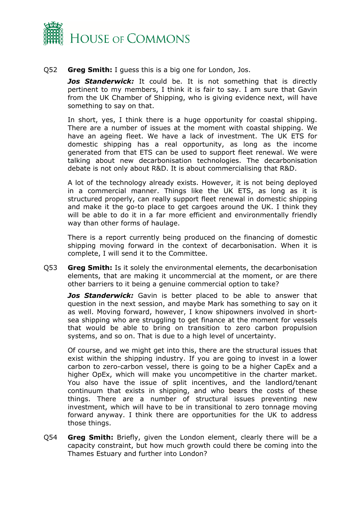

#### Q52 **Greg Smith:** I guess this is a big one for London, Jos.

*Jos Standerwick:* It could be. It is not something that is directly pertinent to my members, I think it is fair to say. I am sure that Gavin from the UK Chamber of Shipping, who is giving evidence next, will have something to say on that.

In short, yes, I think there is a huge opportunity for coastal shipping. There are a number of issues at the moment with coastal shipping. We have an ageing fleet. We have a lack of investment. The UK ETS for domestic shipping has a real opportunity, as long as the income generated from that ETS can be used to support fleet renewal. We were talking about new decarbonisation technologies. The decarbonisation debate is not only about R&D. It is about commercialising that R&D.

A lot of the technology already exists. However, it is not being deployed in a commercial manner. Things like the UK ETS, as long as it is structured properly, can really support fleet renewal in domestic shipping and make it the go-to place to get cargoes around the UK. I think they will be able to do it in a far more efficient and environmentally friendly way than other forms of haulage.

There is a report currently being produced on the financing of domestic shipping moving forward in the context of decarbonisation. When it is complete, I will send it to the Committee.

Q53 **Greg Smith:** Is it solely the environmental elements, the decarbonisation elements, that are making it uncommercial at the moment, or are there other barriers to it being a genuine commercial option to take?

*Jos Standerwick:* Gavin is better placed to be able to answer that question in the next session, and maybe Mark has something to say on it as well. Moving forward, however, I know shipowners involved in shortsea shipping who are struggling to get finance at the moment for vessels that would be able to bring on transition to zero carbon propulsion systems, and so on. That is due to a high level of uncertainty.

Of course, and we might get into this, there are the structural issues that exist within the shipping industry. If you are going to invest in a lower carbon to zero-carbon vessel, there is going to be a higher CapEx and a higher OpEx, which will make you uncompetitive in the charter market. You also have the issue of split incentives, and the landlord/tenant continuum that exists in shipping, and who bears the costs of these things. There are a number of structural issues preventing new investment, which will have to be in transitional to zero tonnage moving forward anyway. I think there are opportunities for the UK to address those things.

Q54 **Greg Smith:** Briefly, given the London element, clearly there will be a capacity constraint, but how much growth could there be coming into the Thames Estuary and further into London?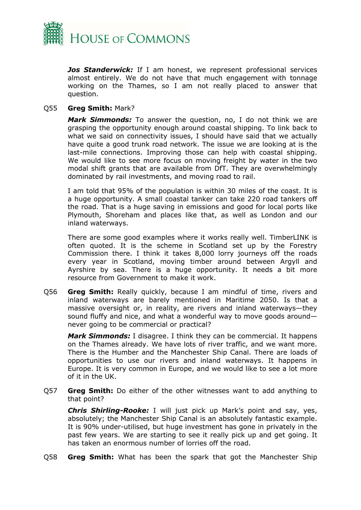

*Jos Standerwick:* If I am honest, we represent professional services almost entirely. We do not have that much engagement with tonnage working on the Thames, so I am not really placed to answer that question.

#### Q55 **Greg Smith:** Mark?

*Mark Simmonds:* To answer the question, no, I do not think we are grasping the opportunity enough around coastal shipping. To link back to what we said on connectivity issues, I should have said that we actually have quite a good trunk road network. The issue we are looking at is the last-mile connections. Improving those can help with coastal shipping. We would like to see more focus on moving freight by water in the two modal shift grants that are available from DfT. They are overwhelmingly dominated by rail investments, and moving road to rail.

I am told that 95% of the population is within 30 miles of the coast. It is a huge opportunity. A small coastal tanker can take 220 road tankers off the road. That is a huge saving in emissions and good for local ports like Plymouth, Shoreham and places like that, as well as London and our inland waterways.

There are some good examples where it works really well. TimberLINK is often quoted. It is the scheme in Scotland set up by the Forestry Commission there. I think it takes 8,000 lorry journeys off the roads every year in Scotland, moving timber around between Argyll and Ayrshire by sea. There is a huge opportunity. It needs a bit more resource from Government to make it work.

Q56 **Greg Smith:** Really quickly, because I am mindful of time, rivers and inland waterways are barely mentioned in Maritime 2050. Is that a massive oversight or, in reality, are rivers and inland waterways—they sound fluffy and nice, and what a wonderful way to move goods around never going to be commercial or practical?

*Mark Simmonds:* I disagree. I think they can be commercial. It happens on the Thames already. We have lots of river traffic, and we want more. There is the Humber and the Manchester Ship Canal. There are loads of opportunities to use our rivers and inland waterways. It happens in Europe. It is very common in Europe, and we would like to see a lot more of it in the UK.

Q57 **Greg Smith:** Do either of the other witnesses want to add anything to that point?

*Chris Shirling-Rooke:* I will just pick up Mark's point and say, yes, absolutely; the Manchester Ship Canal is an absolutely fantastic example. It is 90% under-utilised, but huge investment has gone in privately in the past few years. We are starting to see it really pick up and get going. It has taken an enormous number of lorries off the road.

Q58 **Greg Smith:** What has been the spark that got the Manchester Ship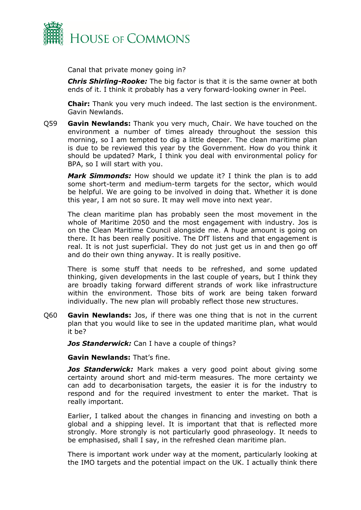

Canal that private money going in?

*Chris Shirling-Rooke:* The big factor is that it is the same owner at both ends of it. I think it probably has a very forward-looking owner in Peel.

**Chair:** Thank you very much indeed. The last section is the environment. Gavin Newlands.

Q59 **Gavin Newlands:** Thank you very much, Chair. We have touched on the environment a number of times already throughout the session this morning, so I am tempted to dig a little deeper. The clean maritime plan is due to be reviewed this year by the Government. How do you think it should be updated? Mark, I think you deal with environmental policy for BPA, so I will start with you.

*Mark Simmonds:* How should we update it? I think the plan is to add some short-term and medium-term targets for the sector, which would be helpful. We are going to be involved in doing that. Whether it is done this year, I am not so sure. It may well move into next year.

The clean maritime plan has probably seen the most movement in the whole of Maritime 2050 and the most engagement with industry. Jos is on the Clean Maritime Council alongside me. A huge amount is going on there. It has been really positive. The DfT listens and that engagement is real. It is not just superficial. They do not just get us in and then go off and do their own thing anyway. It is really positive.

There is some stuff that needs to be refreshed, and some updated thinking, given developments in the last couple of years, but I think they are broadly taking forward different strands of work like infrastructure within the environment. Those bits of work are being taken forward individually. The new plan will probably reflect those new structures.

Q60 **Gavin Newlands:** Jos, if there was one thing that is not in the current plan that you would like to see in the updated maritime plan, what would it be?

*Jos Standerwick:* Can I have a couple of things?

**Gavin Newlands:** That's fine.

*Jos Standerwick:* Mark makes a very good point about giving some certainty around short and mid-term measures. The more certainty we can add to decarbonisation targets, the easier it is for the industry to respond and for the required investment to enter the market. That is really important.

Earlier, I talked about the changes in financing and investing on both a global and a shipping level. It is important that that is reflected more strongly. More strongly is not particularly good phraseology. It needs to be emphasised, shall I say, in the refreshed clean maritime plan.

There is important work under way at the moment, particularly looking at the IMO targets and the potential impact on the UK. I actually think there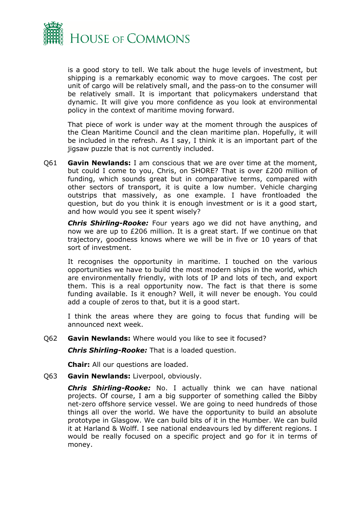

is a good story to tell. We talk about the huge levels of investment, but shipping is a remarkably economic way to move cargoes. The cost per unit of cargo will be relatively small, and the pass-on to the consumer will be relatively small. It is important that policymakers understand that dynamic. It will give you more confidence as you look at environmental policy in the context of maritime moving forward.

That piece of work is under way at the moment through the auspices of the Clean Maritime Council and the clean maritime plan. Hopefully, it will be included in the refresh. As I say, I think it is an important part of the jigsaw puzzle that is not currently included.

Q61 **Gavin Newlands:** I am conscious that we are over time at the moment, but could I come to you, Chris, on SHORE? That is over £200 million of funding, which sounds great but in comparative terms, compared with other sectors of transport, it is quite a low number. Vehicle charging outstrips that massively, as one example. I have frontloaded the question, but do you think it is enough investment or is it a good start, and how would you see it spent wisely?

*Chris Shirling-Rooke:* Four years ago we did not have anything, and now we are up to £206 million. It is a great start. If we continue on that trajectory, goodness knows where we will be in five or 10 years of that sort of investment.

It recognises the opportunity in maritime. I touched on the various opportunities we have to build the most modern ships in the world, which are environmentally friendly, with lots of IP and lots of tech, and export them. This is a real opportunity now. The fact is that there is some funding available. Is it enough? Well, it will never be enough. You could add a couple of zeros to that, but it is a good start.

I think the areas where they are going to focus that funding will be announced next week.

#### Q62 **Gavin Newlands:** Where would you like to see it focused?

*Chris Shirling-Rooke:* That is a loaded question.

**Chair:** All our questions are loaded.

Q63 **Gavin Newlands:** Liverpool, obviously.

*Chris Shirling-Rooke:* No. I actually think we can have national projects. Of course, I am a big supporter of something called the Bibby net-zero offshore service vessel. We are going to need hundreds of those things all over the world. We have the opportunity to build an absolute prototype in Glasgow. We can build bits of it in the Humber. We can build it at Harland & Wolff. I see national endeavours led by different regions. I would be really focused on a specific project and go for it in terms of money.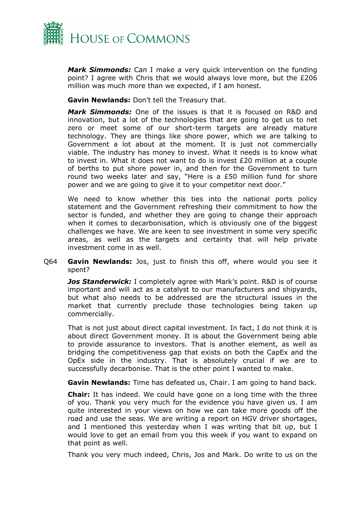

*Mark Simmonds:* Can I make a very quick intervention on the funding point? I agree with Chris that we would always love more, but the £206 million was much more than we expected, if I am honest.

**Gavin Newlands:** Don't tell the Treasury that.

*Mark Simmonds:* One of the issues is that it is focused on R&D and innovation, but a lot of the technologies that are going to get us to net zero or meet some of our short-term targets are already mature technology. They are things like shore power, which we are talking to Government a lot about at the moment. It is just not commercially viable. The industry has money to invest. What it needs is to know what to invest in. What it does not want to do is invest £20 million at a couple of berths to put shore power in, and then for the Government to turn round two weeks later and say, "Here is a £50 million fund for shore power and we are going to give it to your competitor next door."

We need to know whether this ties into the national ports policy statement and the Government refreshing their commitment to how the sector is funded, and whether they are going to change their approach when it comes to decarbonisation, which is obviously one of the biggest challenges we have. We are keen to see investment in some very specific areas, as well as the targets and certainty that will help private investment come in as well.

Q64 **Gavin Newlands:** Jos, just to finish this off, where would you see it spent?

*Jos Standerwick:* I completely agree with Mark's point. R&D is of course important and will act as a catalyst to our manufacturers and shipyards, but what also needs to be addressed are the structural issues in the market that currently preclude those technologies being taken up commercially.

That is not just about direct capital investment. In fact, I do not think it is about direct Government money. It is about the Government being able to provide assurance to investors. That is another element, as well as bridging the competitiveness gap that exists on both the CapEx and the OpEx side in the industry. That is absolutely crucial if we are to successfully decarbonise. That is the other point I wanted to make.

**Gavin Newlands:** Time has defeated us, Chair. I am going to hand back.

**Chair:** It has indeed. We could have gone on a long time with the three of you. Thank you very much for the evidence you have given us. I am quite interested in your views on how we can take more goods off the road and use the seas. We are writing a report on HGV driver shortages, and I mentioned this yesterday when I was writing that bit up, but I would love to get an email from you this week if you want to expand on that point as well.

Thank you very much indeed, Chris, Jos and Mark. Do write to us on the